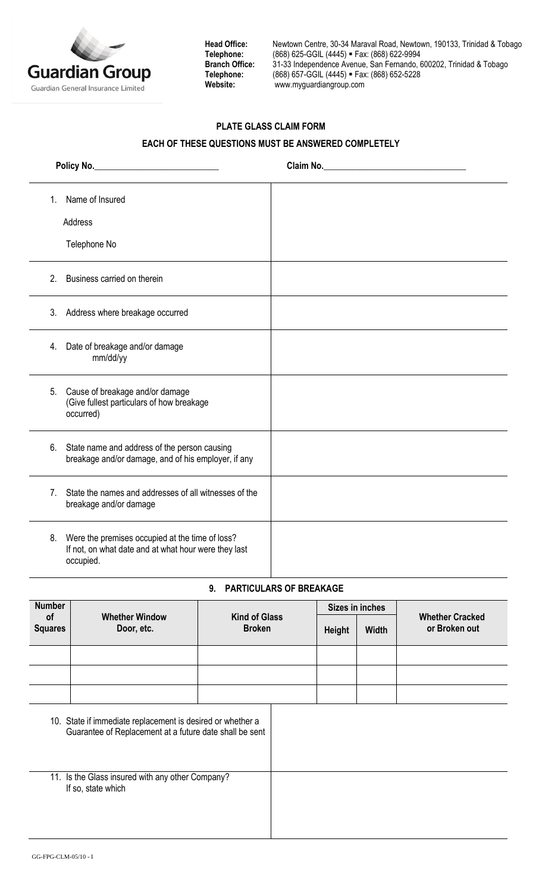

Head Office: Newtown Centre, 30-34 Maraval Road, Newtown, 190133, Trinidad & Tobago<br>Telephone: (868) 625-GGIL (4445) = Fax: (868) 622-9994 **Telephone:** (868) 625-GGIL (4445) Fax: (868) 622-9994 **Branch Office:** 31-33 Independence Avenue, San Fernando, 600202, Trinidad & Tobago **Telephone:** (868) 657-GGIL (4445) Fax: (868) 652-5228 **Website:** [www.myguardiangroup.com](http://www.myguardiangroup.com/)

## **PLATE GLASS CLAIM FORM**

## **EACH OF THESE QUESTIONS MUST BE ANSWERED COMPLETELY**

|                | Policy No.                                                                                                           | Claim No. |
|----------------|----------------------------------------------------------------------------------------------------------------------|-----------|
| 1.             | Name of Insured                                                                                                      |           |
|                | Address                                                                                                              |           |
|                | Telephone No                                                                                                         |           |
| 2 <sub>1</sub> | Business carried on therein                                                                                          |           |
|                | 3. Address where breakage occurred                                                                                   |           |
| 4.             | Date of breakage and/or damage<br>mm/dd/yy                                                                           |           |
| 5.             | Cause of breakage and/or damage<br>(Give fullest particulars of how breakage<br>occurred)                            |           |
|                | 6. State name and address of the person causing<br>breakage and/or damage, and of his employer, if any               |           |
| 7.             | State the names and addresses of all witnesses of the<br>breakage and/or damage                                      |           |
| 8.             | Were the premises occupied at the time of loss?<br>If not, on what date and at what hour were they last<br>occupied. |           |

## **9. PARTICULARS OF BREAKAGE**

| <b>Number</b>                                                          |                                                                                                                       | <b>Kind of Glass</b><br><b>Broken</b> |  | Sizes in inches |              |                                         |
|------------------------------------------------------------------------|-----------------------------------------------------------------------------------------------------------------------|---------------------------------------|--|-----------------|--------------|-----------------------------------------|
| of<br><b>Squares</b>                                                   | <b>Whether Window</b><br>Door, etc.                                                                                   |                                       |  | Height          | <b>Width</b> | <b>Whether Cracked</b><br>or Broken out |
|                                                                        |                                                                                                                       |                                       |  |                 |              |                                         |
|                                                                        |                                                                                                                       |                                       |  |                 |              |                                         |
|                                                                        |                                                                                                                       |                                       |  |                 |              |                                         |
|                                                                        | 10. State if immediate replacement is desired or whether a<br>Guarantee of Replacement at a future date shall be sent |                                       |  |                 |              |                                         |
| 11. Is the Glass insured with any other Company?<br>If so, state which |                                                                                                                       |                                       |  |                 |              |                                         |